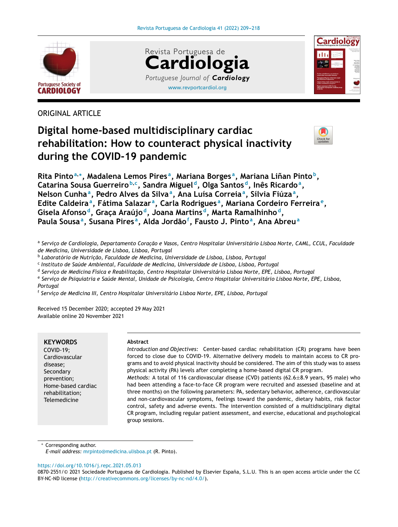





ORIGINAL ARTICLE

# **Digital home-based multidisciplinary cardiac rehabilitation: How to counteract physical inactivity during the COVID-19 pandemic**



**Rita Pinto<sup>a</sup>**,<sup>∗</sup> **, Madalena Lemos Pires <sup>a</sup> , Mariana Borges <sup>a</sup> , Mariana Linan ˜ Pinto <sup>b</sup> , Catarina Sousa Guerreiro <sup>b</sup>**,**<sup>c</sup> , Sandra Miguel <sup>d</sup> , Olga Santos <sup>d</sup> , Inês Ricardo<sup>a</sup> , Nelson Cunha<sup>a</sup> , Pedro Alves da Silva<sup>a</sup> , Ana Luísa Correia<sup>a</sup> , Sílvia Fiúza<sup>a</sup> , Edite Caldeira<sup>a</sup> , Fátima Salazar <sup>a</sup> , Carla Rodrigues <sup>a</sup> , Mariana Cordeiro Ferreira <sup>e</sup> , Gisela Afonso <sup>d</sup> , Grac¸a Araújo <sup>d</sup> , Joana Martins <sup>d</sup> , Marta Ramalhinho <sup>d</sup> , Paula Sousa<sup>a</sup> , Susana Pires <sup>a</sup> , Alda Jordão<sup>f</sup> , Fausto J. Pinto<sup>a</sup> , Ana Abreu<sup>a</sup>**

ª Serviço de Cardiologia, Departamento Coração e Vasos, Centro Hospitalar Universitário Lisboa Norte, CAML, CCUL, Faculdade *de Medicina, Universidade de Lisboa, Lisboa, Portugal*

<sup>b</sup> *Laboratório de Nutric¸ão, Faculdade de Medicina, Universidade de Lisboa, Lisboa, Portugal*

c *Instituto de Saúde Ambiental, Faculdade de Medicina, Universidade de Lisboa, Lisboa, Portugal*

d *Servic¸o de Medicina Física e Reabilitac¸ão, Centro Hospitalar Universitário Lisboa Norte, EPE, Lisboa, Portugal*

<sup>e</sup> Serviço de Psiquiatria e Saúde Mental, Unidade de Psicologia, Centro Hospitalar Universitário Lisboa Norte, EPE, Lisboa, *Portugal*

f *Servic¸o de Medicina III, Centro Hospitalar Universitário Lisboa Norte, EPE, Lisboa, Portugal*

Received 15 December 2020; accepted 29 May 2021 Available online 20 November 2021

## **KEYWORDS**

COVID-19; Cardiovascular disease; Secondary prevention; Home-based cardiac rehabilitation; **Telemedicine** 

#### **Abstract**

*Introduction and Objectives:* Center-based cardiac rehabilitation (CR) programs have been forced to close due to COVID-19. Alternative delivery models to maintain access to CR programs and to avoid physical inactivity should be considered. The aim of this study was to assess physical activity (PA) levels after completing a home-based digital CR program.

*Methods:* A total of 116 cardiovascular disease (CVD) patients (62.6±8.9 years, 95 male) who had been attending a face-to-face CR program were recruited and assessed (baseline and at three months) on the following parameters: PA, sedentary behavior, adherence, cardiovascular and non-cardiovascular symptoms, feelings toward the pandemic, dietary habits, risk factor control, safety and adverse events. The intervention consisted of a multidisciplinary digital CR program, including regular patient assessment, and exercise, educational and psychological group sessions.

Corresponding author.

*E-mail address:* [mrpinto@medicina.ulisboa.pt](mailto:mrpinto@medicina.ulisboa.pt) (R. Pinto).

<https://doi.org/10.1016/j.repc.2021.05.013>

<sup>0870-2551/© 2021</sup> Sociedade Portuguesa de Cardiologia. Published by Elsevier España, S.L.U. This is an open access article under the CC BY-NC-ND license (<http://creativecommons.org/licenses/by-nc-nd/4.0/>).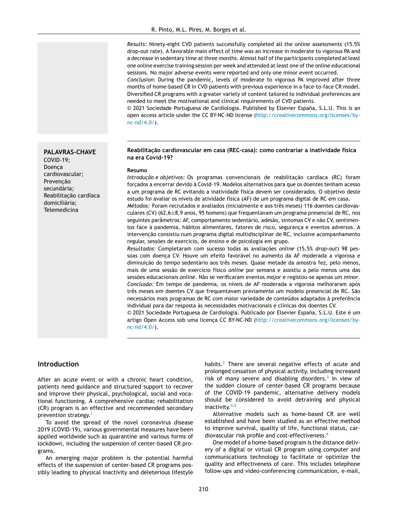*Results:* Ninety-eight CVD patients successfully completed all the online assessments (15.5% drop-out rate). A favorable main effect of time was an increase in moderate to vigorous PA and a decrease in sedentary time at three months. Almost half of the participants completed at least one online exercise training session per week and attended at least one of the online educational sessions. No major adverse events were reported and only one minor event occurred.

*Conclusion:* During the pandemic, levels of moderate to vigorous PA improved after three months of home-based CR in CVD patients with previous experience in a face-to-face CR model. Diversified CR programs with a greater variety of content tailored to individual preferences are needed to meet the motivational and clinical requirements of CVD patients.

© 2021 Sociedade Portuguesa de Cardiologia. Published by Elsevier Espana, ˜ S.L.U. This is an open access article under the CC BY-NC-ND license [\(http://creativecommons.org/licenses/by](http://creativecommons.org/licenses/by-nc-nd/4.0/)[nc-nd/4.0/](http://creativecommons.org/licenses/by-nc-nd/4.0/)).

#### **Reabilitac¸ão cardiovascular em casa (REC-casa): como contrariar a inatividade física na era Covid-19?**

#### **Resumo**

*Introdução e objetivos:* Os programas convencionais de reabilitação cardíaca (RC) foram forcados a encerrar devido à Covid-19. Modelos alternativos para que os doentes tenham acesso a um programa de RC evitando a inatividade física devem ser considerados. O objetivo deste estudo foi avaliar os níveis de atividade física (AF) de um programa digital de RC em casa.

*Métodos:* Foram recrutados e avaliados (inicialmente e aos três meses) 116 doentes cardiovasculares (CV) (62,6±8,9 anos, 95 homens) que frequentavam um programa presencial de RC, nos seguintes parâmetros: AF, comportamento sedentário, adesão, sintomas CV e não CV, sentimentos face à pandemia, hábitos alimentares, fatores de risco, seguranca e eventos adversos. A intervenção consistiu num programa digital multidisciplinar de RC, inclusive acompanhamento regular, sessões de exercício, de ensino e de psicologia em grupo.

*Resultados:* Completaram com sucesso todas as avaliações *online* (15,5% *drop-out*) 98 pessoas com doença CV. Houve um efeito favorável no aumento da AF moderada a vigorosa e diminuicão do tempo sedentário aos três meses. Quase metade da amostra fez, pelo menos, mais de uma sessão de exercício físico *online* por semana e assistiu a pelo menos uma das sessões educacionais *online*. Não se verificaram eventos *major* e registou-se apenas um *minor*. *Conclusão:* Em tempo de pandemia, os níveis de AF moderada a vigorosa melhoraram após três meses em doentes CV que frequentavam previamente um modelo presencial de RC. São necessários mais programas de RC com maior variedade de conteúdos adaptados à preferência individual para dar resposta às necessidades motivacionais e clínicas dos doentes CV.

© 2021 Sociedade Portuguesa de Cardiologia. Publicado por Elsevier España, S.L.U. Este é um artigo Open Access sob uma licença CC BY-NC-ND [\(http://creativecommons.org/licenses/by](http://creativecommons.org/licenses/by-nc-nd/4.0/)[nc-nd/4.0/](http://creativecommons.org/licenses/by-nc-nd/4.0/)).

## **Introduction**

After an acute event or with a chronic heart condition, patients need guidance and structured support to recover and improve their physical, psychological, social and vocational functioning. A comprehensive cardiac rehabilitation (CR) program is an effective and recommended secondary prevention strategy.[1](#page-8-0)

To avoid the spread of the novel coronavirus disease 2019 (COVID-19), various governmental measures have been applied worldwide such as quarantine and various forms of lockdown, including the suspension of center-based CR programs.

An emerging major problem is the potential harmful effects of the suspension of center-based CR programs possibly leading to physical inactivity and deleterious lifestyle habits.<sup>[2](#page-8-0)</sup> There are several negative effects of acute and prolonged cessation of physical activity, including increased risk of many severe and disabling disorders.<sup>[3](#page-8-0)</sup> In view of the sudden closure of center-based CR programs because of the COVID-19 pandemic, alternative delivery models should be considered to avoid detraining and physical inactivity.<sup>[4,5](#page-8-0)</sup>

Alternative models such as home-based CR are well established and have been studied as an effective method to improve survival, quality of life, functional status, cardiovascular risk profile and cost-effectiveness.[6](#page-8-0)

One model of a home-based program is the distance delivery of a digital or virtual CR program using computer and communications technology to facilitate or optimize the quality and effectiveness of care. This includes telephone follow-ups and video-conferencing communication, e-mail,

**PALAVRAS-CHAVE** COVID-19;

Doenca cardiovascular; Prevencão secundária; Reabilitação cardíaca domiciliária; **Telemedicina**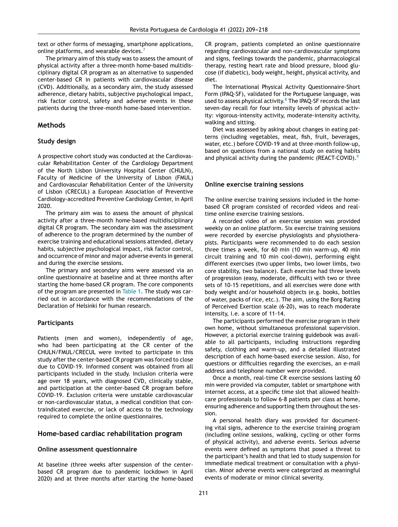text or other forms of messaging, smartphone applications, online platforms, and wearable devices.<sup>[7](#page-8-0)</sup>

The primary aim of this study was to assess the amount of physical activity after a three-month home-based multidisciplinary digital CR program as an alternative to suspended center-based CR in patients with cardiovascular disease (CVD). Additionally, as a secondary aim, the study assessed adherence, dietary habits, subjective psychological impact, risk factor control, safety and adverse events in these patients during the three-month home-based intervention.

#### **Methods**

#### **Study design**

A prospective cohort study was conducted at the Cardiovascular Rehabilitation Center of the Cardiology Department of the North Lisbon University Hospital Center (CHULN), Faculty of Medicine of the University of Lisbon (FMUL) and Cardiovascular Rehabilitation Center of the University of Lisbon (CRECUL) a European Association of Preventive Cardiology-accredited Preventive Cardiology Center, in April 2020.

The primary aim was to assess the amount of physical activity after a three-month home-based multidisciplinary digital CR program. The secondary aim was the assessment of adherence to the program determined by the number of exercise training and educational sessions attended, dietary habits, subjective psychological impact, risk factor control, and occurrence of minor and major adverse events in general and during the exercise sessions.

The primary and secondary aims were assessed via an online questionnaire at baseline and at three months after starting the home-based CR program. The core components of the program are presented in [Table](#page-3-0) 1. The study was carried out in accordance with the recommendations of the Declaration of Helsinki for human research.

#### **Participants**

Patients (men and women), independently of age, who had been participating at the CR center of the CHULN/FMUL/CRECUL were invited to participate in this study after the center-based CR program was forced to close due to COVID-19. Informed consent was obtained from all participants included in the study. Inclusion criteria were age over 18 years, with diagnosed CVD, clinically stable, and participation at the center-based CR program before COVID-19. Exclusion criteria were unstable cardiovascular or non-cardiovascular status, a medical condition that contraindicated exercise, or lack of access to the technology required to complete the online questionnaires.

## **Home-based cardiac rehabilitation program**

#### **Online assessment questionnaire**

At baseline (three weeks after suspension of the centerbased CR program due to pandemic lockdown in April 2020) and at three months after starting the home-based

CR program, patients completed an online questionnaire regarding cardiovascular and non-cardiovascular symptoms and signs, feelings towards the pandemic, pharmacological therapy, resting heart rate and blood pressure, blood glucose (if diabetic), body weight, height, physical activity, and diet.

The International Physical Activity Questionnaire-Short Form (IPAQ-SF), validated for the Portuguese language, was used to assess physical activity.<sup>8</sup> [T](#page-8-0)he IPAQ-SF records the last seven-day recall for four intensity levels of physical activity: vigorous-intensity activity, moderate-intensity activity, walking and sitting.

Diet was assessed by asking about changes in eating patterns (including vegetables, meat, fish, fruit, beverages, water, etc.) before COVID-19 and at three-month follow-up, based on questions from a national study on eating habits and physical activity during the pandemic (REACT-COVID).<sup>[9](#page-8-0)</sup>

#### **Online exercise training sessions**

The online exercise training sessions included in the homebased CR program consisted of recorded videos and realtime online exercise training sessions.

A recorded video of an exercise session was provided weekly on an online platform. Six exercise training sessions were recorded by exercise physiologists and physiotherapists. Participants were recommended to do each session three times a week, for 60 min (10 min warm-up, 40 min circuit training and 10 min cool-down), performing eight different exercises (two upper limbs, two lower limbs, two core stability, two balance). Each exercise had three levels of progression (easy, moderate, difficult) with two or three sets of 10-15 repetitions, and all exercises were done with body weight and/or household objects (e.g. books, bottles of water, packs of rice, etc.). The aim, using the Borg Rating of Perceived Exertion scale (6-20), was to reach moderate intensity, i.e. a score of 11-14.

The participants performed the exercise program in their own home, without simultaneous professional supervision. However, a pictorial exercise training guidebook was available to all participants, including instructions regarding safety, clothing and warm-up, and a detailed illustrated description of each home-based exercise session. Also, for questions or difficulties regarding the exercises, an e-mail address and telephone number were provided.

Once a month, real-time CR exercise sessions lasting 60 min were provided via computer, tablet or smartphone with internet access, at a specific time slot that allowed healthcare professionals to follow 6-8 patients per class at home, ensuring adherence and supporting them throughout the session.

A personal health diary was provided for documenting vital signs, adherence to the exercise training program (including online sessions, walking, cycling or other forms of physical activity), and adverse events. Serious adverse events were defined as symptoms that posed a threat to the participant's health and that led to study suspension for immediate medical treatment or consultation with a physician. Minor adverse events were categorized as meaningful events of moderate or minor clinical severity.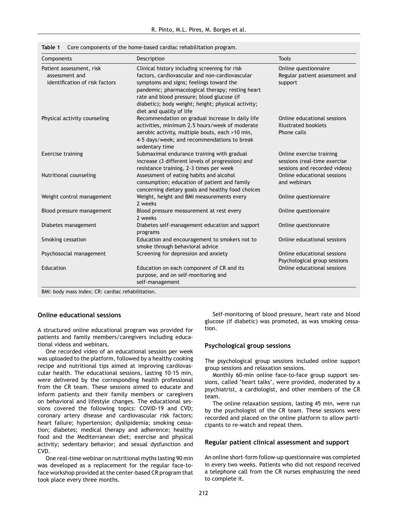<span id="page-3-0"></span>

|  | Table 1 Core components of the home-based cardiac rehabilitation program. |  |  |  |  |
|--|---------------------------------------------------------------------------|--|--|--|--|
|--|---------------------------------------------------------------------------|--|--|--|--|

| Components                                                                   | Description                                                                                                                                                                                                                                                                                                                    | <b>Tools</b>                                                                              |
|------------------------------------------------------------------------------|--------------------------------------------------------------------------------------------------------------------------------------------------------------------------------------------------------------------------------------------------------------------------------------------------------------------------------|-------------------------------------------------------------------------------------------|
| Patient assessment, risk<br>assessment and<br>identification of risk factors | Clinical history including screening for risk<br>factors, cardiovascular and non-cardiovascular<br>symptoms and signs; feelings toward the<br>pandemic; pharmacological therapy; resting heart<br>rate and blood pressure; blood glucose (if<br>diabetic); body weight; height; physical activity;<br>diet and quality of life | Online questionnaire<br>Regular patient assessment and<br>support                         |
| Physical activity counseling                                                 | Recommendation on gradual increase in daily life<br>activities, minimum 2.5 hours/week of moderate<br>aerobic activity, multiple bouts, each >10 min,<br>4-5 days/week; and recommendations to break<br>sedentary time                                                                                                         | Online educational sessions<br>Illustrated booklets<br>Phone calls                        |
| <b>Exercise training</b>                                                     | Submaximal endurance training with gradual<br>increase (3 different levels of progression) and<br>resistance training, 2-3 times per week                                                                                                                                                                                      | Online exercise training<br>sessions (real-time exercise<br>sessions and recorded videos) |
| Nutritional counseling                                                       | Assessment of eating habits and alcohol<br>consumption; education of patient and family<br>concerning dietary goals and healthy food choices                                                                                                                                                                                   | Online educational sessions<br>and webinars                                               |
| Weight control management                                                    | Weight, height and BMI measurements every<br>2 weeks                                                                                                                                                                                                                                                                           | Online questionnaire                                                                      |
| Blood pressure management                                                    | Blood pressure measurement at rest every<br>7 weeks                                                                                                                                                                                                                                                                            | Online questionnaire                                                                      |
| Diabetes management                                                          | Diabetes self-management education and support<br>programs                                                                                                                                                                                                                                                                     | Online questionnaire                                                                      |
| Smoking cessation                                                            | Education and encouragement to smokers not to<br>smoke through behavioral advice                                                                                                                                                                                                                                               | Online educational sessions                                                               |
| Psychosocial management                                                      | Screening for depression and anxiety                                                                                                                                                                                                                                                                                           | Online educational sessions<br>Psychological group sessions                               |
| Education                                                                    | Education on each component of CR and its<br>purpose, and on self-monitoring and<br>self-management                                                                                                                                                                                                                            | Online educational sessions                                                               |

BMI: body mass index; CR: cardiac rehabilitation.

#### **Online educational sessions**

A structured online educational program was provided for patients and family members/caregivers including educational videos and webinars.

One recorded video of an educational session per week was uploaded to the platform, followed by a healthy cooking recipe and nutritional tips aimed at improving cardiovascular health. The educational sessions, lasting 10-15 min, were delivered by the corresponding health professional from the CR team. These sessions aimed to educate and inform patients and their family members or caregivers on behavioral and lifestyle changes. The educational sessions covered the following topics: COVID-19 and CVD; coronary artery disease and cardiovascular risk factors; heart failure; hypertension; dyslipidemia; smoking cessation; diabetes; medical therapy and adherence; healthy food and the Mediterranean diet; exercise and physical activity; sedentary behavior; and sexual dysfunction and CVD.

One real-time webinar on nutritional myths lasting 90 min was developed as a replacement for the regular face-toface workshop provided at the center-based CR program that took place every three months.

Self-monitoring of blood pressure, heart rate and blood glucose (if diabetic) was promoted, as was smoking cessation.

#### **Psychological group sessions**

The psychological group sessions included online support group sessions and relaxation sessions.

Monthly 60-min online face-to-face group support sessions, called 'heart talks', were provided, moderated by a psychiatrist, a cardiologist, and other members of the CR team.

The online relaxation sessions, lasting 45 min, were run by the psychologist of the CR team. These sessions were recorded and placed on the online platform to allow participants to re-watch and repeat them.

#### **Regular patient clinical assessment and support**

An online short-form follow-up questionnaire was completed in every two weeks. Patients who did not respond received a telephone call from the CR nurses emphasizing the need to complete it.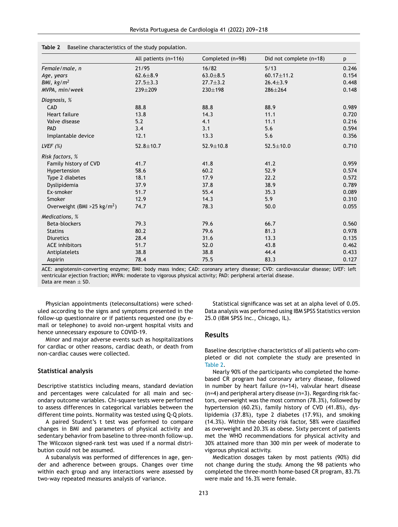|                                          | All patients (n=116) | Completed (n=98) | Did not complete (n=18) | p     |
|------------------------------------------|----------------------|------------------|-------------------------|-------|
| Female/male, n                           | 21/95                | 16/82            | 5/13                    | 0.246 |
| Age, years                               | $62.6 \pm 8.9$       | $63.0 + 8.5$     | $60.17 \pm 11.2$        | 0.154 |
| BMI, $kg/m2$                             | $27.5 \pm 3.3$       | $27.7 \pm 3.2$   | $26.4 \pm 3.9$          | 0.448 |
| MVPA, min/week                           | 239±209              | $230 \pm 198$    | $286 \pm 264$           | 0.148 |
| Diagnosis, %                             |                      |                  |                         |       |
| CAD                                      | 88.8                 | 88.8             | 88.9                    | 0.989 |
| Heart failure                            | 13.8                 | 14.3             | 11.1                    | 0.720 |
| Valve disease                            | 5.2                  | 4.1              | 11.1                    | 0.216 |
| PAD                                      | 3.4                  | 3.1              | 5.6                     | 0.594 |
| Implantable device                       | 12.1                 | 13.3             | 5.6                     | 0.356 |
| LVEF $(\%)$                              | $52.8 \pm 10.7$      | $52.9 \pm 10.8$  | $52.5 \pm 10.0$         | 0.710 |
| Risk factors, %                          |                      |                  |                         |       |
| Family history of CVD                    | 41.7                 | 41.8             | 41.2                    | 0.959 |
| Hypertension                             | 58.6                 | 60.2             | 52.9                    | 0.574 |
| Type 2 diabetes                          | 18.1                 | 17.9             | 22.2                    | 0.572 |
| Dyslipidemia                             | 37.9                 | 37.8             | 38.9                    | 0.789 |
| Ex-smoker                                | 51.7                 | 55.4             | 35.3                    | 0.089 |
| Smoker                                   | 12.9                 | 14.3             | 5.9                     | 0.310 |
| Overweight (BMI > 25 kg/m <sup>2</sup> ) | 74.7                 | 78.3             | 50.0                    | 0.055 |
| Medications, %                           |                      |                  |                         |       |
| Beta-blockers                            | 79.3                 | 79.6             | 66.7                    | 0.560 |
| <b>Statins</b>                           | 80.2                 | 79.6             | 81.3                    | 0.978 |
| <b>Diuretics</b>                         | 28.4                 | 31.6             | 13.3                    | 0.135 |
| <b>ACE</b> inhibitors                    | 51.7                 | 52.0             | 43.8                    | 0.462 |
| Antiplatelets                            | 38.8                 | 38.8             | 44.4                    | 0.433 |
| Aspirin                                  | 78.4                 | 75.5             | 83.3                    | 0.127 |

<span id="page-4-0"></span>**Table 2** Baseline characteristics of the study population.

ACE: angiotensin-converting enzyme; BMI: body mass index; CAD: coronary artery disease; CVD: cardiovascular disease; LVEF: left ventricular ejection fraction; MVPA: moderate to vigorous physical activity; PAD: peripheral arterial disease. Data are mean  $+$  SD.

Physician appointments (teleconsultations) were scheduled according to the signs and symptoms presented in the follow-up questionnaire or if patients requested one (by email or telephone) to avoid non-urgent hospital visits and hence unnecessary exposure to COVID-19.

Minor and major adverse events such as hospitalizations for cardiac or other reasons, cardiac death, or death from non-cardiac causes were collected.

#### **Statistical analysis**

Descriptive statistics including means, standard deviation and percentages were calculated for all main and secondary outcome variables. Chi-square tests were performed to assess differences in categorical variables between the different time points. Normality was tested using Q-Q plots.

A paired Student's t test was performed to compare changes in BMI and parameters of physical activity and sedentary behavior from baseline to three-month follow-up. The Wilcoxon signed-rank test was used if a normal distribution could not be assumed.

A subanalysis was performed of differences in age, gender and adherence between groups. Changes over time within each group and any interactions were assessed by two-way repeated measures analysis of variance.

Statistical significance was set at an alpha level of 0.05. Data analysis was performed using IBM SPSS Statistics version 25.0 (IBM SPSS Inc., Chicago, IL).

#### **Results**

Baseline descriptive characteristics of all patients who completed or did not complete the study are presented in Table 2.

Nearly 90% of the participants who completed the homebased CR program had coronary artery disease, followed in number by heart failure (n=14), valvular heart disease (n=4) and peripheral artery disease (n=3). Regarding risk factors, overweight was the most common (78.3%), followed by hypertension (60.2%), family history of CVD (41.8%), dyslipidemia (37.8%), type 2 diabetes (17.9%), and smoking (14.3%). Within the obesity risk factor, 58% were classified as overweight and 20.3% as obese. Sixty percent of patients met the WHO recommendations for physical activity and 30% attained more than 300 min per week of moderate to vigorous physical activity.

Medication dosages taken by most patients (90%) did not change during the study. Among the 98 patients who completed the three-month home-based CR program, 83.7% were male and 16.3% were female.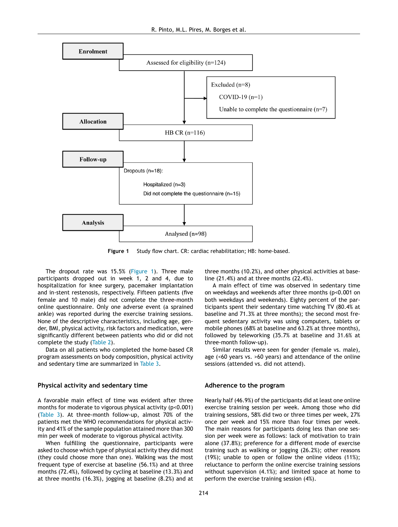

**Figure 1** Study flow chart. CR: cardiac rehabilitation; HB: home-based.

The dropout rate was 15.5% (Figure 1). Three male participants dropped out in week 1, 2 and 4, due to hospitalization for knee surgery, pacemaker implantation and in-stent restenosis, respectively. Fifteen patients (five female and 10 male) did not complete the three-month online questionnaire. Only one adverse event (a sprained ankle) was reported during the exercise training sessions. None of the descriptive characteristics, including age, gender, BMI, physical activity, risk factors and medication, were significantly different between patients who did or did not complete the study [\(Table](#page-4-0) 2).

Data on all patients who completed the home-based CR program assessments on body composition, physical activity and sedentary time are summarized in [Table](#page-6-0) 3.

#### **Physical activity and sedentary time**

A favorable main effect of time was evident after three months for moderate to vigorous physical activity (p<0.001) ([Table](#page-6-0) 3). At three-month follow-up, almost 70% of the patients met the WHO recommendations for physical activity and 41% of the sample population attained more than 300 min per week of moderate to vigorous physical activity.

When fulfilling the questionnaire, participants were asked to choose which type of physical activity they did most (they could choose more than one). Walking was the most frequent type of exercise at baseline (56.1%) and at three months (72.4%), followed by cycling at baseline (13.3%) and at three months (16.3%), jogging at baseline (8.2%) and at three months (10.2%), and other physical activities at baseline (21.4%) and at three months (22.4%).

A main effect of time was observed in sedentary time on weekdays and weekends after three months (p<0.001 on both weekdays and weekends). Eighty percent of the participants spent their sedentary time watching TV (80.4% at baseline and 71.3% at three months); the second most frequent sedentary activity was using computers, tablets or mobile phones (68% at baseline and 63.2% at three months), followed by teleworking (35.7% at baseline and 31.6% at three-month follow-up).

Similar results were seen for gender (female vs. male), age (<60 years vs. >60 years) and attendance of the online sessions (attended vs. did not attend).

#### **Adherence to the program**

Nearly half (46.9%) of the participants did at least one online exercise training session per week. Among those who did training sessions, 58% did two or three times per week, 27% once per week and 15% more than four times per week. The main reasons for participants doing less than one session per week were as follows: lack of motivation to train alone (37.8%); preference for a different mode of exercise training such as walking or jogging (26.2%); other reasons (19%); unable to open or follow the online videos (11%); reluctance to perform the online exercise training sessions without supervision (4.1%); and limited space at home to perform the exercise training session (4%).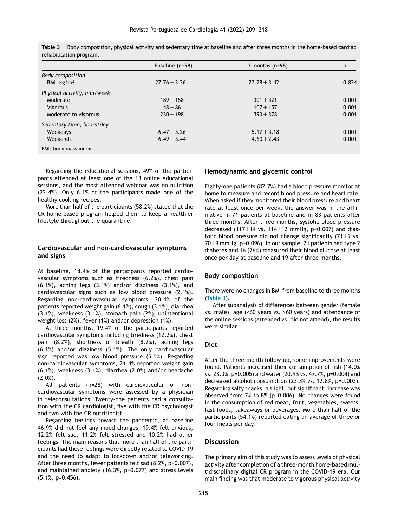|                             | Baseline (n=98)  | 3 months $(n=98)$ | р     |
|-----------------------------|------------------|-------------------|-------|
| <b>Body composition</b>     |                  |                   |       |
| BMI, $\text{kg/m}^2$        | $27.76 \pm 3.26$ | $27.78 \pm 3.42$  | 0.824 |
| Physical activity, min/week |                  |                   |       |
| Moderate                    | $189 + 158$      | $301 \pm 321$     | 0.001 |
| <b>Vigorous</b>             | $48 + 86$        | $107 + 157$       | 0.001 |
| Moderate to vigorous        | $230 + 198$      | $393 + 378$       | 0.001 |
| Sedentary time, hours/day   |                  |                   |       |
| Weekdays                    | $6.47 \pm 3.26$  | $5.17 \pm 3.18$   | 0.001 |
| Weekends                    | $6.49 \pm 3.44$  | $4.60 \pm 2.43$   | 0.001 |
| BMI: body mass index.       |                  |                   |       |

<span id="page-6-0"></span>**Table 3** Body composition, physical activity and sedentary time at baseline and after three months in the home-based cardiac rehabilitation program.

Regarding the educational sessions, 49% of the participants attended at least one of the 13 online educational sessions, and the most attended webinar was on nutrition (22.4%). Only 6.1% of the participants made one of the healthy cooking recipes.

More than half of the participants (58.2%) stated that the CR home-based program helped them to keep a healthier lifestyle throughout the quarantine.

## **Cardiovascular and non-cardiovascular symptoms and signs**

At baseline, 18.4% of the participants reported cardiovascular symptoms such as tiredness (6.2%), chest pain (6.1%), aching legs (3.1%) and/or dizziness (3.1%), and cardiovascular signs such as low blood pressure (2.1%). Regarding non-cardiovascular symptoms, 20.4% of the patients reported weight gain (6.1%), cough (3.1%), diarrhea (3.1%), weakness (3.1%), stomach pain (2%), unintentional weight loss (2%), fever (1%) and/or depression (1%).

At three months, 19.4% of the participants reported cardiovascular symptoms including tiredness (12.2%), chest pain (8.2%), shortness of breath (8.2%), aching legs (6.1%) and/or dizziness (5.1%). The only cardiovascular sign reported was low blood pressure (5.1%). Regarding non-cardiovascular symptoms, 21.4% reported weight gain (6.1%), weakness (3.1%), diarrhea (2.0%) and/or headache  $(2.0\%)$ .

All patients (n=28) with cardiovascular or noncardiovascular symptoms were assessed by a physician in teleconsultations. Twenty-one patients had a consultation with the CR cardiologist, five with the CR psychologist and two with the CR nutritionist.

Regarding feelings toward the pandemic, at baseline 46.9% did not feel any mood changes, 19.4% felt anxious, 12.2% felt sad, 11.2% felt stressed and 10.2% had other feelings. The main reasons that more than half of the participants had these feelings were directly related to COVID-19 and the need to adapt to lockdown and/or teleworking. After three months, fewer patients felt sad (8.2%, p=0.007), and maintained anxiety (16.3%, p=0.077) and stress levels (5.1%, p=0.456).

## **Hemodynamic and glycemic control**

Eighty-one patients (82.7%) had a blood pressure monitor at home to measure and record blood pressure and heart rate. When asked if they monitored their blood pressure and heart rate at least once per week, the answer was in the affirmative in 71 patients at baseline and in 83 patients after three months. After three months, systolic blood pressure decreased (117 $\pm$ 14 vs. 114 $\pm$ 12 mmHg, p=0.007) and diastolic blood pressure did not change significantly  $(71\pm9$  vs. 70±9 mmHg, p=0.096). In our sample, 21 patients had type 2 diabetes and 16 (76%) measured their blood glucose at least once per day at baseline and 19 after three months.

#### **Body composition**

There were no changes in BMI from baseline to three months (Table 3).

After subanalysis of differences between gender (female vs. male), age (<60 years vs. >60 years) and attendance of the online sessions (attended vs. did not attend), the results were similar.

## **Diet**

After the three-month follow-up, some improvements were found. Patients increased their consumption of fish (14.0% vs. 23.3%, p=0.005) and water(20.9% vs. 47.7%, p=0.004) and decreased alcohol consumption (23.3% vs. 12.8%, p=0.003). Regarding salty snacks, a slight, but significant, increase was observed from 7% to 8% (p=0.006). No changes were found in the consumption of red meat, fruit, vegetables, sweets, fast foods, takeaways or beverages. More than half of the participants (54.1%) reported eating an average of three or four meals per day.

## **Discussion**

The primary aim of this study was to assess levels of physical activity after completion of a three-month home-based multidisciplinary digital CR program in the COVID-19 era. Our main finding was that moderate to vigorous physical activity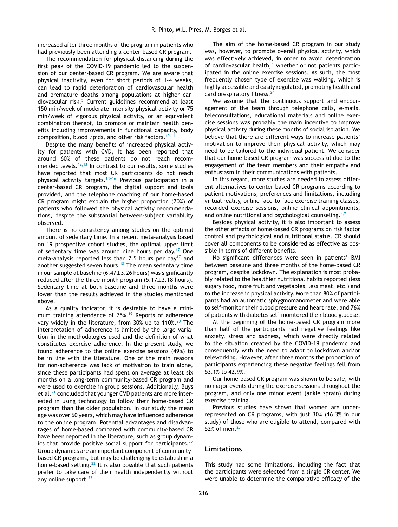increased after three months of the program in patients who had previously been attending a center-based CR program.

The recommendation for physical distancing during the first peak of the COVID-19 pandemic led to the suspension of our center-based CR program. We are aware that physical inactivity, even for short periods of 1-4 weeks, can lead to rapid deterioration of cardiovascular health and premature deaths among populations at higher car-diovascular risk.<sup>[5](#page-8-0)</sup> Current guidelines recommend at least 150 min/week of moderate-intensity physical activity or 75 min/week of vigorous physical activity, or an equivalent combination thereof, to promote or maintain health benefits including improvements in functional capacity, body composition, blood lipids, and other risk factors.<sup>[10,11](#page-8-0)</sup>

Despite the many benefits of increased physical activity for patients with CVD, it has been reported that around 60% of these patients do not reach recom-mended levels.<sup>[12,13](#page-8-0)</sup> In contrast to our results, some studies have reported that most CR participants do not reach physical activity targets.<sup>13-16</sup> Previous participation in a center-based CR program, the digital support and tools provided, and the telephone coaching of our home-based CR program might explain the higher proportion (70%) of patients who followed the physical activity recommendations, despite the substantial between-subject variability observed.

There is no consistency among studies on the optimal amount of sedentary time. In a recent meta-analysis based on 19 prospective cohort studies, the optimal upper limit of sedentary time was around nine hours per day.<sup>[17](#page-8-0)</sup> One meta-analysis reported less than 7.5 hours per day<sup>[17](#page-8-0)</sup> and another suggested seven hours.<sup>[18](#page-8-0)</sup> The mean sedentary time in our sample at baseline  $(6.47\pm3.26$  hours) was significantly reduced after the three-month program  $(5.17\pm3.18$  hours). Sedentary time at both baseline and three months were lower than the results achieved in the studies mentioned above.

As a quality indicator, it is desirable to have a mini-mum training attendance of 75%.<sup>[19](#page-8-0)</sup> Reports of adherence vary widely in the literature, from 30% up to  $110\%$ .<sup>[20](#page-8-0)</sup> The interpretation of adherence is limited by the large variation in the methodologies used and the definition of what constitutes exercise adherence. In the present study, we found adherence to the online exercise sessions (49%) to be in line with the literature. One of the main reasons for non-adherence was lack of motivation to train alone, since these participants had spent on average at least six months on a long-term community-based CR program and were used to exercise in group sessions. Additionally, Buys et al.<sup>[21](#page-9-0)</sup> concluded that younger CVD patients are more interested in using technology to follow their home-based CR program than the older population. In our study the mean age was over 60 years, which may have influenced adherence to the online program. Potential advantages and disadvantages of home-based compared with community-based CR have been reported in the literature, such as group dynamics that provide positive social support for participants. $^{22}$  $^{22}$  $^{22}$ Group dynamics are an important component of communitybased CR programs, but may be challenging to establish in a home-based setting.[22](#page-9-0) It is also possible that such patients prefer to take care of their health independently without any online support.<sup>[23](#page-9-0)</sup>

The aim of the home-based CR program in our study was, however, to promote overall physical activity, which was effectively achieved, in order to avoid deterioration of cardiovascular health, $5$  whether or not patients participated in the online exercise sessions. As such, the most frequently chosen type of exercise was walking, which is highly accessible and easily regulated, promoting health and cardiorespiratory fitness.<sup>[24](#page-9-0)</sup>

We assume that the continuous support and encouragement of the team through telephone calls, e-mails, teleconsultations, educational materials and online exercise sessions was probably the main incentive to improve physical activity during these months of social isolation. We believe that there are different ways to increase patients' motivation to improve their physical activity, which may need to be tailored to the individual patient. We consider that our home-based CR program was successful due to the engagement of the team members and their empathy and enthusiasm in their communications with patients.

In this regard, more studies are needed to assess different alternatives to center-based CR programs according to patient motivations, preferences and limitations, including virtual reality, online face-to-face exercise training classes, recorded exercise sessions, online clinical appointments, and online nutritional and psychological counseling.<sup>[4,7](#page-8-0)</sup>

Besides physical activity, it is also important to assess the other effects of home-based CR programs on risk factor control and psychological and nutritional status. CR should cover all components to be considered as effective as possible in terms of different benefits.

No significant differences were seen in patients' BMI between baseline and three months of the home-based CR program, despite lockdown. The explanation is most probably related to the healthier nutritional habits reported (less sugary food, more fruit and vegetables, less meat, etc.) and to the increase in physical activity. More than 80% of participants had an automatic sphygmomanometer and were able to self-monitor their blood pressure and heart rate, and 76% of patients with diabetes self-monitored their blood glucose.

At the beginning of the home-based CR program more than half of the participants had negative feelings like anxiety, stress and sadness, which were directly related to the situation created by the COVID-19 pandemic and consequently with the need to adapt to lockdown and/or teleworking. However, after three months the proportion of participants experiencing these negative feelings fell from 53.1% to 42.9%.

Our home-based CR program was shown to be safe, with no major events during the exercise sessions throughout the program, and only one minor event (ankle sprain) during exercise training.

Previous studies have shown that women are underrepresented on CR programs, with just 30% (16.3% in our study) of those who are eligible to attend, compared with 52% of men.<sup>[25](#page-9-0)</sup>

## **Limitations**

This study had some limitations, including the fact that the participants were selected from a single CR center. We were unable to determine the comparative efficacy of the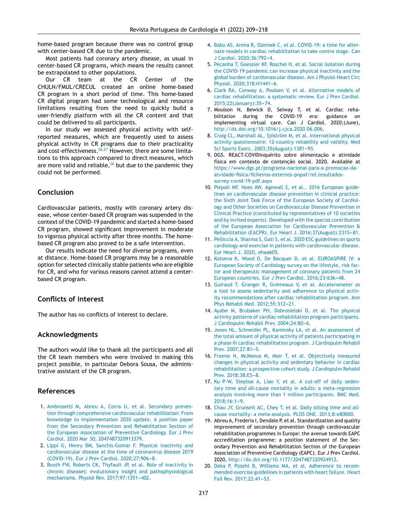<span id="page-8-0"></span>home-based program because there was no control group with center-based CR due to the pandemic.

Most patients had coronary artery disease, as usual in center-based CR programs, which means the results cannot be extrapolated to other populations.

Our CR team at the CR Center of the CHULN/FMUL/CRECUL created an online home-based CR program in a short period of time. This home-based CR digital program had some technological and resource limitations resulting from the need to quickly build a user-friendly platform with all the CR content and that could be delivered to all participants.

In our study we assessed physical activity with selfreported measures, which are frequently used to assess physical activity in CR programs due to their practicality and cost-effectiveness.<sup>[26,27](#page-9-0)</sup> However, there are some limitations to this approach compared to direct measures, which are more valid and reliable,  $26$  but due to the pandemic they could not be performed.

## **Conclusion**

Cardiovascular patients, mostly with coronary artery disease, whose center-based CR program was suspended in the context of the COVID-19 pandemic and started a home-based CR program, showed significant improvement in moderate to vigorous physical activity after three months. The homebased CR program also proved to be a safe intervention.

Our results indicate the need for diverse programs, even at distance. Home-based CR programs may be a reasonable option for selected clinically stable patients who are eligible for CR, and who for various reasons cannot attend a centerbased CR program.

## **Conflicts of interest**

The author has no conflicts of interest to declare.

#### **Acknowledgments**

The authors would like to thank all the participants and all the CR team members who were involved in making this project possible, in particular Debora Sousa, the administrative assistant of the CR program.

## **References**

- 1. [Ambrosetti](http://refhub.elsevier.com/S0870-2551(21)00463-7/sbref0140) [M,](http://refhub.elsevier.com/S0870-2551(21)00463-7/sbref0140) [Abreu](http://refhub.elsevier.com/S0870-2551(21)00463-7/sbref0140) [A,](http://refhub.elsevier.com/S0870-2551(21)00463-7/sbref0140) [Corra](http://refhub.elsevier.com/S0870-2551(21)00463-7/sbref0140) [U,](http://refhub.elsevier.com/S0870-2551(21)00463-7/sbref0140) [et](http://refhub.elsevier.com/S0870-2551(21)00463-7/sbref0140) [al.](http://refhub.elsevier.com/S0870-2551(21)00463-7/sbref0140) [Secondary](http://refhub.elsevier.com/S0870-2551(21)00463-7/sbref0140) [preven](http://refhub.elsevier.com/S0870-2551(21)00463-7/sbref0140)[tion](http://refhub.elsevier.com/S0870-2551(21)00463-7/sbref0140) [through](http://refhub.elsevier.com/S0870-2551(21)00463-7/sbref0140) [comprehensive](http://refhub.elsevier.com/S0870-2551(21)00463-7/sbref0140) [cardiovascular](http://refhub.elsevier.com/S0870-2551(21)00463-7/sbref0140) [rehabilitation:](http://refhub.elsevier.com/S0870-2551(21)00463-7/sbref0140) [From](http://refhub.elsevier.com/S0870-2551(21)00463-7/sbref0140) [knowledge](http://refhub.elsevier.com/S0870-2551(21)00463-7/sbref0140) [to](http://refhub.elsevier.com/S0870-2551(21)00463-7/sbref0140) [implementation](http://refhub.elsevier.com/S0870-2551(21)00463-7/sbref0140) [2020](http://refhub.elsevier.com/S0870-2551(21)00463-7/sbref0140) [update.](http://refhub.elsevier.com/S0870-2551(21)00463-7/sbref0140) [A](http://refhub.elsevier.com/S0870-2551(21)00463-7/sbref0140) [position](http://refhub.elsevier.com/S0870-2551(21)00463-7/sbref0140) [paper](http://refhub.elsevier.com/S0870-2551(21)00463-7/sbref0140) [from](http://refhub.elsevier.com/S0870-2551(21)00463-7/sbref0140) [the](http://refhub.elsevier.com/S0870-2551(21)00463-7/sbref0140) [Secondary](http://refhub.elsevier.com/S0870-2551(21)00463-7/sbref0140) [Prevention](http://refhub.elsevier.com/S0870-2551(21)00463-7/sbref0140) [and](http://refhub.elsevier.com/S0870-2551(21)00463-7/sbref0140) [Rehabilitation](http://refhub.elsevier.com/S0870-2551(21)00463-7/sbref0140) [Section](http://refhub.elsevier.com/S0870-2551(21)00463-7/sbref0140) [of](http://refhub.elsevier.com/S0870-2551(21)00463-7/sbref0140) [the](http://refhub.elsevier.com/S0870-2551(21)00463-7/sbref0140) [European](http://refhub.elsevier.com/S0870-2551(21)00463-7/sbref0140) [Association](http://refhub.elsevier.com/S0870-2551(21)00463-7/sbref0140) [of](http://refhub.elsevier.com/S0870-2551(21)00463-7/sbref0140) [Preventive](http://refhub.elsevier.com/S0870-2551(21)00463-7/sbref0140) [Cardiology.](http://refhub.elsevier.com/S0870-2551(21)00463-7/sbref0140) [Eur](http://refhub.elsevier.com/S0870-2551(21)00463-7/sbref0140) [J](http://refhub.elsevier.com/S0870-2551(21)00463-7/sbref0140) [Prev](http://refhub.elsevier.com/S0870-2551(21)00463-7/sbref0140) [Cardiol.](http://refhub.elsevier.com/S0870-2551(21)00463-7/sbref0140) [2020](http://refhub.elsevier.com/S0870-2551(21)00463-7/sbref0140) [Mar](http://refhub.elsevier.com/S0870-2551(21)00463-7/sbref0140) [30;](http://refhub.elsevier.com/S0870-2551(21)00463-7/sbref0140) [2047487320913379.](http://refhub.elsevier.com/S0870-2551(21)00463-7/sbref0140)
- 2. [Lippi](http://refhub.elsevier.com/S0870-2551(21)00463-7/sbref0145) [G,](http://refhub.elsevier.com/S0870-2551(21)00463-7/sbref0145) [Henry](http://refhub.elsevier.com/S0870-2551(21)00463-7/sbref0145) [BM,](http://refhub.elsevier.com/S0870-2551(21)00463-7/sbref0145) [Sanchis-Gomar](http://refhub.elsevier.com/S0870-2551(21)00463-7/sbref0145) [F.](http://refhub.elsevier.com/S0870-2551(21)00463-7/sbref0145) [Physical](http://refhub.elsevier.com/S0870-2551(21)00463-7/sbref0145) [inactivity](http://refhub.elsevier.com/S0870-2551(21)00463-7/sbref0145) [and](http://refhub.elsevier.com/S0870-2551(21)00463-7/sbref0145) [cardiovascular](http://refhub.elsevier.com/S0870-2551(21)00463-7/sbref0145) [disease](http://refhub.elsevier.com/S0870-2551(21)00463-7/sbref0145) [at](http://refhub.elsevier.com/S0870-2551(21)00463-7/sbref0145) [the](http://refhub.elsevier.com/S0870-2551(21)00463-7/sbref0145) [time](http://refhub.elsevier.com/S0870-2551(21)00463-7/sbref0145) [of](http://refhub.elsevier.com/S0870-2551(21)00463-7/sbref0145) [coronavirus](http://refhub.elsevier.com/S0870-2551(21)00463-7/sbref0145) [disease](http://refhub.elsevier.com/S0870-2551(21)00463-7/sbref0145) [2019](http://refhub.elsevier.com/S0870-2551(21)00463-7/sbref0145) [\(COVID-19\).](http://refhub.elsevier.com/S0870-2551(21)00463-7/sbref0145) [Eur](http://refhub.elsevier.com/S0870-2551(21)00463-7/sbref0145) [J](http://refhub.elsevier.com/S0870-2551(21)00463-7/sbref0145) [Prev](http://refhub.elsevier.com/S0870-2551(21)00463-7/sbref0145) [Cardiol.](http://refhub.elsevier.com/S0870-2551(21)00463-7/sbref0145) 2020;27:906-8.
- 3. [Booth](http://refhub.elsevier.com/S0870-2551(21)00463-7/sbref0150) [FW,](http://refhub.elsevier.com/S0870-2551(21)00463-7/sbref0150) [Roberts](http://refhub.elsevier.com/S0870-2551(21)00463-7/sbref0150) [CK,](http://refhub.elsevier.com/S0870-2551(21)00463-7/sbref0150) [Thyfault](http://refhub.elsevier.com/S0870-2551(21)00463-7/sbref0150) [JP,](http://refhub.elsevier.com/S0870-2551(21)00463-7/sbref0150) [et](http://refhub.elsevier.com/S0870-2551(21)00463-7/sbref0150) [al.](http://refhub.elsevier.com/S0870-2551(21)00463-7/sbref0150) [Role](http://refhub.elsevier.com/S0870-2551(21)00463-7/sbref0150) [of](http://refhub.elsevier.com/S0870-2551(21)00463-7/sbref0150) [inactivity](http://refhub.elsevier.com/S0870-2551(21)00463-7/sbref0150) [in](http://refhub.elsevier.com/S0870-2551(21)00463-7/sbref0150) [chronic](http://refhub.elsevier.com/S0870-2551(21)00463-7/sbref0150) [diseases:](http://refhub.elsevier.com/S0870-2551(21)00463-7/sbref0150) [evolutionary](http://refhub.elsevier.com/S0870-2551(21)00463-7/sbref0150) [insight](http://refhub.elsevier.com/S0870-2551(21)00463-7/sbref0150) [and](http://refhub.elsevier.com/S0870-2551(21)00463-7/sbref0150) [pathophysiological](http://refhub.elsevier.com/S0870-2551(21)00463-7/sbref0150) [mechanisms.](http://refhub.elsevier.com/S0870-2551(21)00463-7/sbref0150) [Physiol](http://refhub.elsevier.com/S0870-2551(21)00463-7/sbref0150) [Rev.](http://refhub.elsevier.com/S0870-2551(21)00463-7/sbref0150) 2017;97:1351-402.
- 4. [Babu](http://refhub.elsevier.com/S0870-2551(21)00463-7/sbref0155) [AS,](http://refhub.elsevier.com/S0870-2551(21)00463-7/sbref0155) [Arena](http://refhub.elsevier.com/S0870-2551(21)00463-7/sbref0155) [R,](http://refhub.elsevier.com/S0870-2551(21)00463-7/sbref0155) [Ozemek](http://refhub.elsevier.com/S0870-2551(21)00463-7/sbref0155) [C,](http://refhub.elsevier.com/S0870-2551(21)00463-7/sbref0155) [et](http://refhub.elsevier.com/S0870-2551(21)00463-7/sbref0155) [al.](http://refhub.elsevier.com/S0870-2551(21)00463-7/sbref0155) [COVID-19:](http://refhub.elsevier.com/S0870-2551(21)00463-7/sbref0155) [a](http://refhub.elsevier.com/S0870-2551(21)00463-7/sbref0155) [time](http://refhub.elsevier.com/S0870-2551(21)00463-7/sbref0155) [for](http://refhub.elsevier.com/S0870-2551(21)00463-7/sbref0155) [alter](http://refhub.elsevier.com/S0870-2551(21)00463-7/sbref0155)[nate](http://refhub.elsevier.com/S0870-2551(21)00463-7/sbref0155) [models](http://refhub.elsevier.com/S0870-2551(21)00463-7/sbref0155) [in](http://refhub.elsevier.com/S0870-2551(21)00463-7/sbref0155) [cardiac](http://refhub.elsevier.com/S0870-2551(21)00463-7/sbref0155) [rehabilitation](http://refhub.elsevier.com/S0870-2551(21)00463-7/sbref0155) [to](http://refhub.elsevier.com/S0870-2551(21)00463-7/sbref0155) [take](http://refhub.elsevier.com/S0870-2551(21)00463-7/sbref0155) [centre](http://refhub.elsevier.com/S0870-2551(21)00463-7/sbref0155) [stage.](http://refhub.elsevier.com/S0870-2551(21)00463-7/sbref0155) [Can](http://refhub.elsevier.com/S0870-2551(21)00463-7/sbref0155) [J](http://refhub.elsevier.com/S0870-2551(21)00463-7/sbref0155) [Cardiol.](http://refhub.elsevier.com/S0870-2551(21)00463-7/sbref0155) 2020:36:792-4.
- 5. Peçanha [T,](http://refhub.elsevier.com/S0870-2551(21)00463-7/sbref0160) [Goessler](http://refhub.elsevier.com/S0870-2551(21)00463-7/sbref0160) [KF,](http://refhub.elsevier.com/S0870-2551(21)00463-7/sbref0160) [Roschel](http://refhub.elsevier.com/S0870-2551(21)00463-7/sbref0160) [H,](http://refhub.elsevier.com/S0870-2551(21)00463-7/sbref0160) [et](http://refhub.elsevier.com/S0870-2551(21)00463-7/sbref0160) [al.](http://refhub.elsevier.com/S0870-2551(21)00463-7/sbref0160) [Social](http://refhub.elsevier.com/S0870-2551(21)00463-7/sbref0160) [isolation](http://refhub.elsevier.com/S0870-2551(21)00463-7/sbref0160) [during](http://refhub.elsevier.com/S0870-2551(21)00463-7/sbref0160) [the](http://refhub.elsevier.com/S0870-2551(21)00463-7/sbref0160) [COVID-19](http://refhub.elsevier.com/S0870-2551(21)00463-7/sbref0160) [pandemic](http://refhub.elsevier.com/S0870-2551(21)00463-7/sbref0160) [can](http://refhub.elsevier.com/S0870-2551(21)00463-7/sbref0160) [increase](http://refhub.elsevier.com/S0870-2551(21)00463-7/sbref0160) [physical](http://refhub.elsevier.com/S0870-2551(21)00463-7/sbref0160) [inactivity](http://refhub.elsevier.com/S0870-2551(21)00463-7/sbref0160) [and](http://refhub.elsevier.com/S0870-2551(21)00463-7/sbref0160) [the](http://refhub.elsevier.com/S0870-2551(21)00463-7/sbref0160) [global](http://refhub.elsevier.com/S0870-2551(21)00463-7/sbref0160) [burden](http://refhub.elsevier.com/S0870-2551(21)00463-7/sbref0160) [of](http://refhub.elsevier.com/S0870-2551(21)00463-7/sbref0160) [cardiovascular](http://refhub.elsevier.com/S0870-2551(21)00463-7/sbref0160) [disease.](http://refhub.elsevier.com/S0870-2551(21)00463-7/sbref0160) [Am](http://refhub.elsevier.com/S0870-2551(21)00463-7/sbref0160) [J](http://refhub.elsevier.com/S0870-2551(21)00463-7/sbref0160) [Physiol-Heart](http://refhub.elsevier.com/S0870-2551(21)00463-7/sbref0160) [Circ](http://refhub.elsevier.com/S0870-2551(21)00463-7/sbref0160) [Physiol.](http://refhub.elsevier.com/S0870-2551(21)00463-7/sbref0160) 2020;318:H1441-6.
- 6. [Clark](http://refhub.elsevier.com/S0870-2551(21)00463-7/sbref0165) [RA,](http://refhub.elsevier.com/S0870-2551(21)00463-7/sbref0165) [Conway](http://refhub.elsevier.com/S0870-2551(21)00463-7/sbref0165) [A,](http://refhub.elsevier.com/S0870-2551(21)00463-7/sbref0165) [Poulsen](http://refhub.elsevier.com/S0870-2551(21)00463-7/sbref0165) [V,](http://refhub.elsevier.com/S0870-2551(21)00463-7/sbref0165) [et](http://refhub.elsevier.com/S0870-2551(21)00463-7/sbref0165) [al.](http://refhub.elsevier.com/S0870-2551(21)00463-7/sbref0165) [Alternative](http://refhub.elsevier.com/S0870-2551(21)00463-7/sbref0165) [models](http://refhub.elsevier.com/S0870-2551(21)00463-7/sbref0165) [of](http://refhub.elsevier.com/S0870-2551(21)00463-7/sbref0165) [cardiac](http://refhub.elsevier.com/S0870-2551(21)00463-7/sbref0165) [rehabilitation:](http://refhub.elsevier.com/S0870-2551(21)00463-7/sbref0165) [a](http://refhub.elsevier.com/S0870-2551(21)00463-7/sbref0165) [systematic](http://refhub.elsevier.com/S0870-2551(21)00463-7/sbref0165) [review.](http://refhub.elsevier.com/S0870-2551(21)00463-7/sbref0165) [Eur](http://refhub.elsevier.com/S0870-2551(21)00463-7/sbref0165) [J](http://refhub.elsevier.com/S0870-2551(21)00463-7/sbref0165) [Prev](http://refhub.elsevier.com/S0870-2551(21)00463-7/sbref0165) [Cardiol.](http://refhub.elsevier.com/S0870-2551(21)00463-7/sbref0165) 2015;22(January):35-74.
- 7. Moulson N, Bewick D, Selway T, et al. Cardiac rehabilitation during the COVID-19 era: guidance on implementing virtual care. Can J Cardiol. 2020;(June), [http://dx.doi.org/10.1016/j.cjca.2020.06.006.](dx.doi.org/10.1016/j.cjca.2020.06.006)
- 8. [Craig](http://refhub.elsevier.com/S0870-2551(21)00463-7/sbref0175) [CL,](http://refhub.elsevier.com/S0870-2551(21)00463-7/sbref0175) [Marshall](http://refhub.elsevier.com/S0870-2551(21)00463-7/sbref0175) [AL,](http://refhub.elsevier.com/S0870-2551(21)00463-7/sbref0175) [Sjöström](http://refhub.elsevier.com/S0870-2551(21)00463-7/sbref0175) [M,](http://refhub.elsevier.com/S0870-2551(21)00463-7/sbref0175) [et](http://refhub.elsevier.com/S0870-2551(21)00463-7/sbref0175) [al.](http://refhub.elsevier.com/S0870-2551(21)00463-7/sbref0175) [International](http://refhub.elsevier.com/S0870-2551(21)00463-7/sbref0175) [physical](http://refhub.elsevier.com/S0870-2551(21)00463-7/sbref0175) [activity](http://refhub.elsevier.com/S0870-2551(21)00463-7/sbref0175) [questionnaire:](http://refhub.elsevier.com/S0870-2551(21)00463-7/sbref0175) [12-country](http://refhub.elsevier.com/S0870-2551(21)00463-7/sbref0175) [reliability](http://refhub.elsevier.com/S0870-2551(21)00463-7/sbref0175) [and](http://refhub.elsevier.com/S0870-2551(21)00463-7/sbref0175) [validity.](http://refhub.elsevier.com/S0870-2551(21)00463-7/sbref0175) [Med](http://refhub.elsevier.com/S0870-2551(21)00463-7/sbref0175) [Sci](http://refhub.elsevier.com/S0870-2551(21)00463-7/sbref0175) [Sports](http://refhub.elsevier.com/S0870-2551(21)00463-7/sbref0175) [Exerc.](http://refhub.elsevier.com/S0870-2551(21)00463-7/sbref0175) 2003:35(August):1381-[95.](http://refhub.elsevier.com/S0870-2551(21)00463-7/sbref0175)
- 9. DGS. REACT-COVIDinquérito sobre alimentação e atividade física em contexto de contencão social. 2020. Available at [https://www.dgs.pt/programa-nacional-para-a-promocao-da](https://www.dgs.pt/programa-nacional-para-a-promocao-da-atvidade-fisica/ficheiros-externos-pnpaf/rel_resultados-survey-covid-19-pdf.aspx)[atvidade-fisica/ficheiros-externos-pnpaf/rel](https://www.dgs.pt/programa-nacional-para-a-promocao-da-atvidade-fisica/ficheiros-externos-pnpaf/rel_resultados-survey-covid-19-pdf.aspx)\_resultados[survey-covid-19-pdf.aspx](https://www.dgs.pt/programa-nacional-para-a-promocao-da-atvidade-fisica/ficheiros-externos-pnpaf/rel_resultados-survey-covid-19-pdf.aspx)
- 10. [Piepoli](http://refhub.elsevier.com/S0870-2551(21)00463-7/sbref0185) [MF,](http://refhub.elsevier.com/S0870-2551(21)00463-7/sbref0185) [Hoes](http://refhub.elsevier.com/S0870-2551(21)00463-7/sbref0185) [AW,](http://refhub.elsevier.com/S0870-2551(21)00463-7/sbref0185) [Agewall](http://refhub.elsevier.com/S0870-2551(21)00463-7/sbref0185) [S,](http://refhub.elsevier.com/S0870-2551(21)00463-7/sbref0185) [et](http://refhub.elsevier.com/S0870-2551(21)00463-7/sbref0185) [al.,](http://refhub.elsevier.com/S0870-2551(21)00463-7/sbref0185) [2016](http://refhub.elsevier.com/S0870-2551(21)00463-7/sbref0185) [European](http://refhub.elsevier.com/S0870-2551(21)00463-7/sbref0185) [guide](http://refhub.elsevier.com/S0870-2551(21)00463-7/sbref0185)[lines](http://refhub.elsevier.com/S0870-2551(21)00463-7/sbref0185) [on](http://refhub.elsevier.com/S0870-2551(21)00463-7/sbref0185) [cardiovascular](http://refhub.elsevier.com/S0870-2551(21)00463-7/sbref0185) [disease](http://refhub.elsevier.com/S0870-2551(21)00463-7/sbref0185) [prevention](http://refhub.elsevier.com/S0870-2551(21)00463-7/sbref0185) [in](http://refhub.elsevier.com/S0870-2551(21)00463-7/sbref0185) [clinical](http://refhub.elsevier.com/S0870-2551(21)00463-7/sbref0185) [practice:](http://refhub.elsevier.com/S0870-2551(21)00463-7/sbref0185) [the](http://refhub.elsevier.com/S0870-2551(21)00463-7/sbref0185) [Sixth](http://refhub.elsevier.com/S0870-2551(21)00463-7/sbref0185) [Joint](http://refhub.elsevier.com/S0870-2551(21)00463-7/sbref0185) [Task](http://refhub.elsevier.com/S0870-2551(21)00463-7/sbref0185) [Force](http://refhub.elsevier.com/S0870-2551(21)00463-7/sbref0185) [of](http://refhub.elsevier.com/S0870-2551(21)00463-7/sbref0185) [the](http://refhub.elsevier.com/S0870-2551(21)00463-7/sbref0185) [European](http://refhub.elsevier.com/S0870-2551(21)00463-7/sbref0185) [Society](http://refhub.elsevier.com/S0870-2551(21)00463-7/sbref0185) [of](http://refhub.elsevier.com/S0870-2551(21)00463-7/sbref0185) [Cardiol](http://refhub.elsevier.com/S0870-2551(21)00463-7/sbref0185)[ogy](http://refhub.elsevier.com/S0870-2551(21)00463-7/sbref0185) [and](http://refhub.elsevier.com/S0870-2551(21)00463-7/sbref0185) [Other](http://refhub.elsevier.com/S0870-2551(21)00463-7/sbref0185) [Societies](http://refhub.elsevier.com/S0870-2551(21)00463-7/sbref0185) [on](http://refhub.elsevier.com/S0870-2551(21)00463-7/sbref0185) [Cardiovascular](http://refhub.elsevier.com/S0870-2551(21)00463-7/sbref0185) [Disease](http://refhub.elsevier.com/S0870-2551(21)00463-7/sbref0185) [Prevention](http://refhub.elsevier.com/S0870-2551(21)00463-7/sbref0185) [in](http://refhub.elsevier.com/S0870-2551(21)00463-7/sbref0185) [Clinical](http://refhub.elsevier.com/S0870-2551(21)00463-7/sbref0185) [Practice](http://refhub.elsevier.com/S0870-2551(21)00463-7/sbref0185) [\(constituted](http://refhub.elsevier.com/S0870-2551(21)00463-7/sbref0185) [by](http://refhub.elsevier.com/S0870-2551(21)00463-7/sbref0185) [representatives](http://refhub.elsevier.com/S0870-2551(21)00463-7/sbref0185) [of](http://refhub.elsevier.com/S0870-2551(21)00463-7/sbref0185) [10](http://refhub.elsevier.com/S0870-2551(21)00463-7/sbref0185) [societies](http://refhub.elsevier.com/S0870-2551(21)00463-7/sbref0185) [and](http://refhub.elsevier.com/S0870-2551(21)00463-7/sbref0185) [by](http://refhub.elsevier.com/S0870-2551(21)00463-7/sbref0185) [invited](http://refhub.elsevier.com/S0870-2551(21)00463-7/sbref0185) [experts\).](http://refhub.elsevier.com/S0870-2551(21)00463-7/sbref0185) [Developed](http://refhub.elsevier.com/S0870-2551(21)00463-7/sbref0185) [with](http://refhub.elsevier.com/S0870-2551(21)00463-7/sbref0185) [the](http://refhub.elsevier.com/S0870-2551(21)00463-7/sbref0185) [special](http://refhub.elsevier.com/S0870-2551(21)00463-7/sbref0185) [contribution](http://refhub.elsevier.com/S0870-2551(21)00463-7/sbref0185) [of](http://refhub.elsevier.com/S0870-2551(21)00463-7/sbref0185) [the](http://refhub.elsevier.com/S0870-2551(21)00463-7/sbref0185) [European](http://refhub.elsevier.com/S0870-2551(21)00463-7/sbref0185) [Association](http://refhub.elsevier.com/S0870-2551(21)00463-7/sbref0185) [for](http://refhub.elsevier.com/S0870-2551(21)00463-7/sbref0185) [Cardiovascular](http://refhub.elsevier.com/S0870-2551(21)00463-7/sbref0185) [Prevention](http://refhub.elsevier.com/S0870-2551(21)00463-7/sbref0185) [&](http://refhub.elsevier.com/S0870-2551(21)00463-7/sbref0185) [Rehabilitation](http://refhub.elsevier.com/S0870-2551(21)00463-7/sbref0185) [\(EACPR\).](http://refhub.elsevier.com/S0870-2551(21)00463-7/sbref0185) [Eur](http://refhub.elsevier.com/S0870-2551(21)00463-7/sbref0185) [Heart](http://refhub.elsevier.com/S0870-2551(21)00463-7/sbref0185) [J.](http://refhub.elsevier.com/S0870-2551(21)00463-7/sbref0185) 2016;37(August):2315-81.
- 11. [Pelliccia](http://refhub.elsevier.com/S0870-2551(21)00463-7/sbref0190) [A,](http://refhub.elsevier.com/S0870-2551(21)00463-7/sbref0190) [Sharma](http://refhub.elsevier.com/S0870-2551(21)00463-7/sbref0190) [S,](http://refhub.elsevier.com/S0870-2551(21)00463-7/sbref0190) [Gati](http://refhub.elsevier.com/S0870-2551(21)00463-7/sbref0190) [S,](http://refhub.elsevier.com/S0870-2551(21)00463-7/sbref0190) [et](http://refhub.elsevier.com/S0870-2551(21)00463-7/sbref0190) [al.](http://refhub.elsevier.com/S0870-2551(21)00463-7/sbref0190) [2020](http://refhub.elsevier.com/S0870-2551(21)00463-7/sbref0190) [ESC](http://refhub.elsevier.com/S0870-2551(21)00463-7/sbref0190) [guidelines](http://refhub.elsevier.com/S0870-2551(21)00463-7/sbref0190) [on](http://refhub.elsevier.com/S0870-2551(21)00463-7/sbref0190) [sports](http://refhub.elsevier.com/S0870-2551(21)00463-7/sbref0190) [cardiology](http://refhub.elsevier.com/S0870-2551(21)00463-7/sbref0190) [and](http://refhub.elsevier.com/S0870-2551(21)00463-7/sbref0190) [exercise](http://refhub.elsevier.com/S0870-2551(21)00463-7/sbref0190) [in](http://refhub.elsevier.com/S0870-2551(21)00463-7/sbref0190) [patients](http://refhub.elsevier.com/S0870-2551(21)00463-7/sbref0190) [with](http://refhub.elsevier.com/S0870-2551(21)00463-7/sbref0190) [cardiovascular](http://refhub.elsevier.com/S0870-2551(21)00463-7/sbref0190) [disease.](http://refhub.elsevier.com/S0870-2551(21)00463-7/sbref0190) [Eur](http://refhub.elsevier.com/S0870-2551(21)00463-7/sbref0190) [Heart](http://refhub.elsevier.com/S0870-2551(21)00463-7/sbref0190) [J.](http://refhub.elsevier.com/S0870-2551(21)00463-7/sbref0190) [2020,](http://refhub.elsevier.com/S0870-2551(21)00463-7/sbref0190) [ehaa605.](http://refhub.elsevier.com/S0870-2551(21)00463-7/sbref0190)
- 12. [Kotseva](http://refhub.elsevier.com/S0870-2551(21)00463-7/sbref0195) [K,](http://refhub.elsevier.com/S0870-2551(21)00463-7/sbref0195) [Wood](http://refhub.elsevier.com/S0870-2551(21)00463-7/sbref0195) [D,](http://refhub.elsevier.com/S0870-2551(21)00463-7/sbref0195) [De](http://refhub.elsevier.com/S0870-2551(21)00463-7/sbref0195) [Bacquer](http://refhub.elsevier.com/S0870-2551(21)00463-7/sbref0195) [D,](http://refhub.elsevier.com/S0870-2551(21)00463-7/sbref0195) [et](http://refhub.elsevier.com/S0870-2551(21)00463-7/sbref0195) [al.](http://refhub.elsevier.com/S0870-2551(21)00463-7/sbref0195) [EUROASPIRE](http://refhub.elsevier.com/S0870-2551(21)00463-7/sbref0195) [IV:](http://refhub.elsevier.com/S0870-2551(21)00463-7/sbref0195) [a](http://refhub.elsevier.com/S0870-2551(21)00463-7/sbref0195) [European](http://refhub.elsevier.com/S0870-2551(21)00463-7/sbref0195) [Society](http://refhub.elsevier.com/S0870-2551(21)00463-7/sbref0195) [of](http://refhub.elsevier.com/S0870-2551(21)00463-7/sbref0195) [Cardiology](http://refhub.elsevier.com/S0870-2551(21)00463-7/sbref0195) [survey](http://refhub.elsevier.com/S0870-2551(21)00463-7/sbref0195) [on](http://refhub.elsevier.com/S0870-2551(21)00463-7/sbref0195) [the](http://refhub.elsevier.com/S0870-2551(21)00463-7/sbref0195) [lifestyle,](http://refhub.elsevier.com/S0870-2551(21)00463-7/sbref0195) [risk](http://refhub.elsevier.com/S0870-2551(21)00463-7/sbref0195) [fac](http://refhub.elsevier.com/S0870-2551(21)00463-7/sbref0195)[tor](http://refhub.elsevier.com/S0870-2551(21)00463-7/sbref0195) [and](http://refhub.elsevier.com/S0870-2551(21)00463-7/sbref0195) [therapeutic](http://refhub.elsevier.com/S0870-2551(21)00463-7/sbref0195) [management](http://refhub.elsevier.com/S0870-2551(21)00463-7/sbref0195) [of](http://refhub.elsevier.com/S0870-2551(21)00463-7/sbref0195) [coronary](http://refhub.elsevier.com/S0870-2551(21)00463-7/sbref0195) [patients](http://refhub.elsevier.com/S0870-2551(21)00463-7/sbref0195) [from](http://refhub.elsevier.com/S0870-2551(21)00463-7/sbref0195) [24](http://refhub.elsevier.com/S0870-2551(21)00463-7/sbref0195) [European](http://refhub.elsevier.com/S0870-2551(21)00463-7/sbref0195) [countries.](http://refhub.elsevier.com/S0870-2551(21)00463-7/sbref0195) [Eur](http://refhub.elsevier.com/S0870-2551(21)00463-7/sbref0195) [J](http://refhub.elsevier.com/S0870-2551(21)00463-7/sbref0195) [Prev](http://refhub.elsevier.com/S0870-2551(21)00463-7/sbref0195) [Cardiol.](http://refhub.elsevier.com/S0870-2551(21)00463-7/sbref0195) 2016;23:636-48.
- 13. [Guiraud](http://refhub.elsevier.com/S0870-2551(21)00463-7/sbref0200) [T,](http://refhub.elsevier.com/S0870-2551(21)00463-7/sbref0200) [Granger](http://refhub.elsevier.com/S0870-2551(21)00463-7/sbref0200) [R,](http://refhub.elsevier.com/S0870-2551(21)00463-7/sbref0200) [Grémeaux](http://refhub.elsevier.com/S0870-2551(21)00463-7/sbref0200) [V,](http://refhub.elsevier.com/S0870-2551(21)00463-7/sbref0200) [et](http://refhub.elsevier.com/S0870-2551(21)00463-7/sbref0200) [al.](http://refhub.elsevier.com/S0870-2551(21)00463-7/sbref0200) [Accelerometer](http://refhub.elsevier.com/S0870-2551(21)00463-7/sbref0200) [as](http://refhub.elsevier.com/S0870-2551(21)00463-7/sbref0200) [a](http://refhub.elsevier.com/S0870-2551(21)00463-7/sbref0200) [tool](http://refhub.elsevier.com/S0870-2551(21)00463-7/sbref0200) [to](http://refhub.elsevier.com/S0870-2551(21)00463-7/sbref0200) [assess](http://refhub.elsevier.com/S0870-2551(21)00463-7/sbref0200) [sedentarity](http://refhub.elsevier.com/S0870-2551(21)00463-7/sbref0200) [and](http://refhub.elsevier.com/S0870-2551(21)00463-7/sbref0200) [adherence](http://refhub.elsevier.com/S0870-2551(21)00463-7/sbref0200) [to](http://refhub.elsevier.com/S0870-2551(21)00463-7/sbref0200) [physical](http://refhub.elsevier.com/S0870-2551(21)00463-7/sbref0200) [activ](http://refhub.elsevier.com/S0870-2551(21)00463-7/sbref0200)[ity](http://refhub.elsevier.com/S0870-2551(21)00463-7/sbref0200) [recommendations](http://refhub.elsevier.com/S0870-2551(21)00463-7/sbref0200) [after](http://refhub.elsevier.com/S0870-2551(21)00463-7/sbref0200) [cardiac](http://refhub.elsevier.com/S0870-2551(21)00463-7/sbref0200) [rehabilitation](http://refhub.elsevier.com/S0870-2551(21)00463-7/sbref0200) [program.](http://refhub.elsevier.com/S0870-2551(21)00463-7/sbref0200) [Ann](http://refhub.elsevier.com/S0870-2551(21)00463-7/sbref0200) [Phys](http://refhub.elsevier.com/S0870-2551(21)00463-7/sbref0200) [Rehabil](http://refhub.elsevier.com/S0870-2551(21)00463-7/sbref0200) [Med.](http://refhub.elsevier.com/S0870-2551(21)00463-7/sbref0200) [2012;55:312](http://refhub.elsevier.com/S0870-2551(21)00463-7/sbref0200)-[21.](http://refhub.elsevier.com/S0870-2551(21)00463-7/sbref0200)
- 14. [Ayabe](http://refhub.elsevier.com/S0870-2551(21)00463-7/sbref0205) [M,](http://refhub.elsevier.com/S0870-2551(21)00463-7/sbref0205) [Brubaker](http://refhub.elsevier.com/S0870-2551(21)00463-7/sbref0205) [PH,](http://refhub.elsevier.com/S0870-2551(21)00463-7/sbref0205) [Dobrosielski](http://refhub.elsevier.com/S0870-2551(21)00463-7/sbref0205) [D,](http://refhub.elsevier.com/S0870-2551(21)00463-7/sbref0205) [et](http://refhub.elsevier.com/S0870-2551(21)00463-7/sbref0205) [al.](http://refhub.elsevier.com/S0870-2551(21)00463-7/sbref0205) [The](http://refhub.elsevier.com/S0870-2551(21)00463-7/sbref0205) [physical](http://refhub.elsevier.com/S0870-2551(21)00463-7/sbref0205) [activity](http://refhub.elsevier.com/S0870-2551(21)00463-7/sbref0205) [patterns](http://refhub.elsevier.com/S0870-2551(21)00463-7/sbref0205) [of](http://refhub.elsevier.com/S0870-2551(21)00463-7/sbref0205) [cardiac](http://refhub.elsevier.com/S0870-2551(21)00463-7/sbref0205) [rehabilitation](http://refhub.elsevier.com/S0870-2551(21)00463-7/sbref0205) [program](http://refhub.elsevier.com/S0870-2551(21)00463-7/sbref0205) [participants.](http://refhub.elsevier.com/S0870-2551(21)00463-7/sbref0205) [J](http://refhub.elsevier.com/S0870-2551(21)00463-7/sbref0205) [Cardiopulm](http://refhub.elsevier.com/S0870-2551(21)00463-7/sbref0205) [Rehabil](http://refhub.elsevier.com/S0870-2551(21)00463-7/sbref0205) [Prev.](http://refhub.elsevier.com/S0870-2551(21)00463-7/sbref0205) [2004;24:80-](http://refhub.elsevier.com/S0870-2551(21)00463-7/sbref0205)[6.](http://refhub.elsevier.com/S0870-2551(21)00463-7/sbref0205)
- 15. [Jones](http://refhub.elsevier.com/S0870-2551(21)00463-7/sbref0210) [NL,](http://refhub.elsevier.com/S0870-2551(21)00463-7/sbref0210) [Schneider](http://refhub.elsevier.com/S0870-2551(21)00463-7/sbref0210) [PL,](http://refhub.elsevier.com/S0870-2551(21)00463-7/sbref0210) [Kaminsky](http://refhub.elsevier.com/S0870-2551(21)00463-7/sbref0210) [LA,](http://refhub.elsevier.com/S0870-2551(21)00463-7/sbref0210) [et](http://refhub.elsevier.com/S0870-2551(21)00463-7/sbref0210) [al.](http://refhub.elsevier.com/S0870-2551(21)00463-7/sbref0210) [An](http://refhub.elsevier.com/S0870-2551(21)00463-7/sbref0210) [assessment](http://refhub.elsevier.com/S0870-2551(21)00463-7/sbref0210) [of](http://refhub.elsevier.com/S0870-2551(21)00463-7/sbref0210) [the](http://refhub.elsevier.com/S0870-2551(21)00463-7/sbref0210) [total](http://refhub.elsevier.com/S0870-2551(21)00463-7/sbref0210) [amount](http://refhub.elsevier.com/S0870-2551(21)00463-7/sbref0210) [of](http://refhub.elsevier.com/S0870-2551(21)00463-7/sbref0210) [physical](http://refhub.elsevier.com/S0870-2551(21)00463-7/sbref0210) [activity](http://refhub.elsevier.com/S0870-2551(21)00463-7/sbref0210) [of](http://refhub.elsevier.com/S0870-2551(21)00463-7/sbref0210) [patients](http://refhub.elsevier.com/S0870-2551(21)00463-7/sbref0210) [participating](http://refhub.elsevier.com/S0870-2551(21)00463-7/sbref0210) [in](http://refhub.elsevier.com/S0870-2551(21)00463-7/sbref0210) [a](http://refhub.elsevier.com/S0870-2551(21)00463-7/sbref0210) [phase](http://refhub.elsevier.com/S0870-2551(21)00463-7/sbref0210) [III](http://refhub.elsevier.com/S0870-2551(21)00463-7/sbref0210) [cardiac](http://refhub.elsevier.com/S0870-2551(21)00463-7/sbref0210) [rehabilitation](http://refhub.elsevier.com/S0870-2551(21)00463-7/sbref0210) [program.](http://refhub.elsevier.com/S0870-2551(21)00463-7/sbref0210) [J](http://refhub.elsevier.com/S0870-2551(21)00463-7/sbref0210) [Cardiopulm](http://refhub.elsevier.com/S0870-2551(21)00463-7/sbref0210) [Rehabil](http://refhub.elsevier.com/S0870-2551(21)00463-7/sbref0210) [Prev.](http://refhub.elsevier.com/S0870-2551(21)00463-7/sbref0210) 2007;27:81-5.
- 16. [Freene](http://refhub.elsevier.com/S0870-2551(21)00463-7/sbref0215) [N,](http://refhub.elsevier.com/S0870-2551(21)00463-7/sbref0215) [McManus](http://refhub.elsevier.com/S0870-2551(21)00463-7/sbref0215) [M,](http://refhub.elsevier.com/S0870-2551(21)00463-7/sbref0215) [Mair](http://refhub.elsevier.com/S0870-2551(21)00463-7/sbref0215) [T,](http://refhub.elsevier.com/S0870-2551(21)00463-7/sbref0215) [et](http://refhub.elsevier.com/S0870-2551(21)00463-7/sbref0215) [al.](http://refhub.elsevier.com/S0870-2551(21)00463-7/sbref0215) [Objectively](http://refhub.elsevier.com/S0870-2551(21)00463-7/sbref0215) [measured](http://refhub.elsevier.com/S0870-2551(21)00463-7/sbref0215) [changes](http://refhub.elsevier.com/S0870-2551(21)00463-7/sbref0215) [in](http://refhub.elsevier.com/S0870-2551(21)00463-7/sbref0215) [physical](http://refhub.elsevier.com/S0870-2551(21)00463-7/sbref0215) [activity](http://refhub.elsevier.com/S0870-2551(21)00463-7/sbref0215) [and](http://refhub.elsevier.com/S0870-2551(21)00463-7/sbref0215) [sedentary](http://refhub.elsevier.com/S0870-2551(21)00463-7/sbref0215) [behavior](http://refhub.elsevier.com/S0870-2551(21)00463-7/sbref0215) [in](http://refhub.elsevier.com/S0870-2551(21)00463-7/sbref0215) [cardiac](http://refhub.elsevier.com/S0870-2551(21)00463-7/sbref0215) [rehabilitation:](http://refhub.elsevier.com/S0870-2551(21)00463-7/sbref0215) [a](http://refhub.elsevier.com/S0870-2551(21)00463-7/sbref0215) [prospective](http://refhub.elsevier.com/S0870-2551(21)00463-7/sbref0215) [cohort](http://refhub.elsevier.com/S0870-2551(21)00463-7/sbref0215) [study.](http://refhub.elsevier.com/S0870-2551(21)00463-7/sbref0215) [J](http://refhub.elsevier.com/S0870-2551(21)00463-7/sbref0215) [Cardiopulm](http://refhub.elsevier.com/S0870-2551(21)00463-7/sbref0215) [Rehabil](http://refhub.elsevier.com/S0870-2551(21)00463-7/sbref0215) [Prev.](http://refhub.elsevier.com/S0870-2551(21)00463-7/sbref0215) 2018;38:E5-8.
- 17. [Ku](http://refhub.elsevier.com/S0870-2551(21)00463-7/sbref0220) [P-W,](http://refhub.elsevier.com/S0870-2551(21)00463-7/sbref0220) [Steptoe](http://refhub.elsevier.com/S0870-2551(21)00463-7/sbref0220) [A,](http://refhub.elsevier.com/S0870-2551(21)00463-7/sbref0220) [Liao](http://refhub.elsevier.com/S0870-2551(21)00463-7/sbref0220) [Y,](http://refhub.elsevier.com/S0870-2551(21)00463-7/sbref0220) [et](http://refhub.elsevier.com/S0870-2551(21)00463-7/sbref0220) [al.](http://refhub.elsevier.com/S0870-2551(21)00463-7/sbref0220) [A](http://refhub.elsevier.com/S0870-2551(21)00463-7/sbref0220) [cut-off](http://refhub.elsevier.com/S0870-2551(21)00463-7/sbref0220) [of](http://refhub.elsevier.com/S0870-2551(21)00463-7/sbref0220) [daily](http://refhub.elsevier.com/S0870-2551(21)00463-7/sbref0220) [seden](http://refhub.elsevier.com/S0870-2551(21)00463-7/sbref0220)[tary](http://refhub.elsevier.com/S0870-2551(21)00463-7/sbref0220) [time](http://refhub.elsevier.com/S0870-2551(21)00463-7/sbref0220) [and](http://refhub.elsevier.com/S0870-2551(21)00463-7/sbref0220) [all-cause](http://refhub.elsevier.com/S0870-2551(21)00463-7/sbref0220) [mortality](http://refhub.elsevier.com/S0870-2551(21)00463-7/sbref0220) [in](http://refhub.elsevier.com/S0870-2551(21)00463-7/sbref0220) [adults:](http://refhub.elsevier.com/S0870-2551(21)00463-7/sbref0220) [a](http://refhub.elsevier.com/S0870-2551(21)00463-7/sbref0220) [meta-regression](http://refhub.elsevier.com/S0870-2551(21)00463-7/sbref0220) [analysis](http://refhub.elsevier.com/S0870-2551(21)00463-7/sbref0220) [involving](http://refhub.elsevier.com/S0870-2551(21)00463-7/sbref0220) [more](http://refhub.elsevier.com/S0870-2551(21)00463-7/sbref0220) [than](http://refhub.elsevier.com/S0870-2551(21)00463-7/sbref0220) [1](http://refhub.elsevier.com/S0870-2551(21)00463-7/sbref0220) [million](http://refhub.elsevier.com/S0870-2551(21)00463-7/sbref0220) [participants.](http://refhub.elsevier.com/S0870-2551(21)00463-7/sbref0220) [BMC](http://refhub.elsevier.com/S0870-2551(21)00463-7/sbref0220) [Med.](http://refhub.elsevier.com/S0870-2551(21)00463-7/sbref0220)  $2018;16:1-9.$
- 18. [Chau](http://refhub.elsevier.com/S0870-2551(21)00463-7/sbref0225) [JY,](http://refhub.elsevier.com/S0870-2551(21)00463-7/sbref0225) [Grunseit](http://refhub.elsevier.com/S0870-2551(21)00463-7/sbref0225) [AC,](http://refhub.elsevier.com/S0870-2551(21)00463-7/sbref0225) [Chey](http://refhub.elsevier.com/S0870-2551(21)00463-7/sbref0225) [T,](http://refhub.elsevier.com/S0870-2551(21)00463-7/sbref0225) [et](http://refhub.elsevier.com/S0870-2551(21)00463-7/sbref0225) [al.](http://refhub.elsevier.com/S0870-2551(21)00463-7/sbref0225) [Daily](http://refhub.elsevier.com/S0870-2551(21)00463-7/sbref0225) [sitting](http://refhub.elsevier.com/S0870-2551(21)00463-7/sbref0225) [time](http://refhub.elsevier.com/S0870-2551(21)00463-7/sbref0225) [and](http://refhub.elsevier.com/S0870-2551(21)00463-7/sbref0225) [all](http://refhub.elsevier.com/S0870-2551(21)00463-7/sbref0225)[cause](http://refhub.elsevier.com/S0870-2551(21)00463-7/sbref0225) [mortality:](http://refhub.elsevier.com/S0870-2551(21)00463-7/sbref0225) [a](http://refhub.elsevier.com/S0870-2551(21)00463-7/sbref0225) [meta-analysis.](http://refhub.elsevier.com/S0870-2551(21)00463-7/sbref0225) [PLOS](http://refhub.elsevier.com/S0870-2551(21)00463-7/sbref0225) [ONE.](http://refhub.elsevier.com/S0870-2551(21)00463-7/sbref0225) [2013;8:e80000.](http://refhub.elsevier.com/S0870-2551(21)00463-7/sbref0225)
- 19. Abreu A, Frederix I, Dendale P, et al. Standardization and quality improvement of secondary prevention through cardiovascular rehabilitation programmes in Europe: the avenue towards EAPC accreditation programme: a position statement of the Secondary Prevention and Rehabilitation Section of the European Association of Preventive Cardiology (EAPC). Eur J Prev Cardiol. 2020, [http://dx.doi.org/10.1177/2047487320924912](dx.doi.org/10.1177/2047487320924912).
- 20. [Deka](http://refhub.elsevier.com/S0870-2551(21)00463-7/sbref0235) [P,](http://refhub.elsevier.com/S0870-2551(21)00463-7/sbref0235) [Pozehl](http://refhub.elsevier.com/S0870-2551(21)00463-7/sbref0235) [B,](http://refhub.elsevier.com/S0870-2551(21)00463-7/sbref0235) [Williams](http://refhub.elsevier.com/S0870-2551(21)00463-7/sbref0235) [MA,](http://refhub.elsevier.com/S0870-2551(21)00463-7/sbref0235) [et](http://refhub.elsevier.com/S0870-2551(21)00463-7/sbref0235) [al.](http://refhub.elsevier.com/S0870-2551(21)00463-7/sbref0235) [Adherence](http://refhub.elsevier.com/S0870-2551(21)00463-7/sbref0235) [to](http://refhub.elsevier.com/S0870-2551(21)00463-7/sbref0235) [recom](http://refhub.elsevier.com/S0870-2551(21)00463-7/sbref0235)[mended](http://refhub.elsevier.com/S0870-2551(21)00463-7/sbref0235) [exercise](http://refhub.elsevier.com/S0870-2551(21)00463-7/sbref0235) [guidelines](http://refhub.elsevier.com/S0870-2551(21)00463-7/sbref0235) [in](http://refhub.elsevier.com/S0870-2551(21)00463-7/sbref0235) [patients](http://refhub.elsevier.com/S0870-2551(21)00463-7/sbref0235) [with](http://refhub.elsevier.com/S0870-2551(21)00463-7/sbref0235) [heart](http://refhub.elsevier.com/S0870-2551(21)00463-7/sbref0235) [failure.](http://refhub.elsevier.com/S0870-2551(21)00463-7/sbref0235) [Heart](http://refhub.elsevier.com/S0870-2551(21)00463-7/sbref0235) [Fail](http://refhub.elsevier.com/S0870-2551(21)00463-7/sbref0235) [Rev.](http://refhub.elsevier.com/S0870-2551(21)00463-7/sbref0235) [2017;22:41](http://refhub.elsevier.com/S0870-2551(21)00463-7/sbref0235)-[53.](http://refhub.elsevier.com/S0870-2551(21)00463-7/sbref0235)